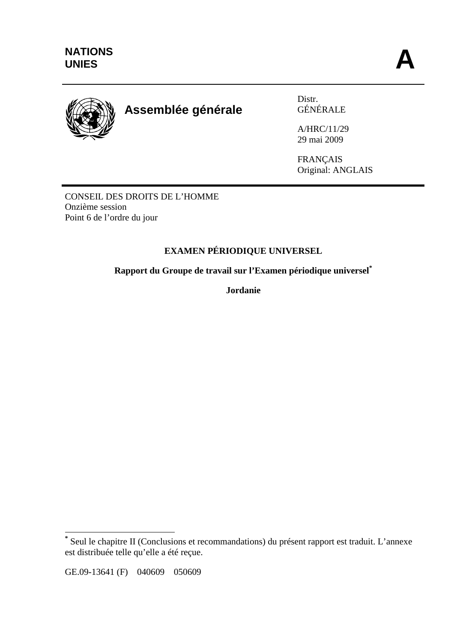

# **Assemblée générale**

Distr. GÉNÉRALE

A/HRC/11/29 29 mai 2009

FRANÇAIS Original: ANGLAIS

CONSEIL DES DROITS DE L'HOMME Onzième session Point 6 de l'ordre du jour

# **EXAMEN PÉRIODIQUE UNIVERSEL**

**Rapport du Groupe de travail sur l'Examen périodique universel\***

**Jordanie** 

 $\overline{a}$ 

**<sup>\*</sup>** Seul le chapitre II (Conclusions et recommandations) du présent rapport est traduit. L'annexe est distribuée telle qu'elle a été reçue.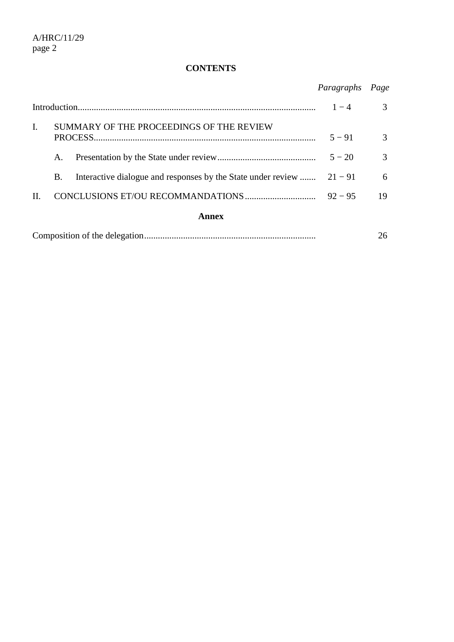# **CONTENTS**

|                |           |                                                                        | Paragraphs | Page          |
|----------------|-----------|------------------------------------------------------------------------|------------|---------------|
|                |           |                                                                        | $1 - 4$    | $\mathcal{R}$ |
| $\mathbf{I}$ . |           | SUMMARY OF THE PROCEEDINGS OF THE REVIEW                               | $5 - 91$   | $\mathcal{R}$ |
|                | А.        |                                                                        | $5 - 20$   | 3             |
|                | <b>B.</b> | Interactive dialogue and responses by the State under review $21 - 91$ |            | 6             |
| $\Pi$ .        |           |                                                                        | $92 - 95$  | 19            |
| Annex          |           |                                                                        |            |               |
|                |           |                                                                        |            | 26            |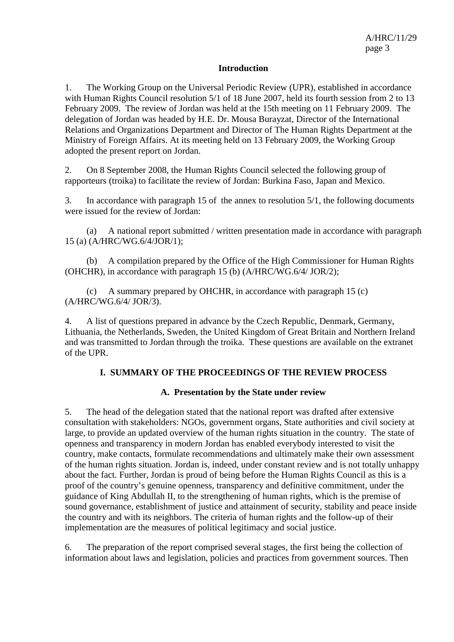#### **Introduction**

1. The Working Group on the Universal Periodic Review (UPR), established in accordance with Human Rights Council resolution 5/1 of 18 June 2007, held its fourth session from 2 to 13 February 2009. The review of Jordan was held at the 15th meeting on 11 February 2009. The delegation of Jordan was headed by H.E. Dr. Mousa Burayzat, Director of the International Relations and Organizations Department and Director of The Human Rights Department at the Ministry of Foreign Affairs. At its meeting held on 13 February 2009, the Working Group adopted the present report on Jordan.

2. On 8 September 2008, the Human Rights Council selected the following group of rapporteurs (troika) to facilitate the review of Jordan: Burkina Faso, Japan and Mexico.

3. In accordance with paragraph 15 of the annex to resolution 5/1, the following documents were issued for the review of Jordan:

(a) A national report submitted / written presentation made in accordance with paragraph 15 (a) (A/HRC/WG.6/4/JOR/1);

(b) A compilation prepared by the Office of the High Commissioner for Human Rights (OHCHR), in accordance with paragraph 15 (b) (A/HRC/WG.6/4/ JOR/2);

(c) A summary prepared by OHCHR, in accordance with paragraph 15 (c) (A/HRC/WG.6/4/ JOR/3).

4. A list of questions prepared in advance by the Czech Republic, Denmark, Germany, Lithuania, the Netherlands, Sweden, the United Kingdom of Great Britain and Northern Ireland and was transmitted to Jordan through the troika. These questions are available on the extranet of the UPR.

#### **I. SUMMARY OF THE PROCEEDINGS OF THE REVIEW PROCESS**

#### **A. Presentation by the State under review**

5. The head of the delegation stated that the national report was drafted after extensive consultation with stakeholders: NGOs, government organs, State authorities and civil society at large, to provide an updated overview of the human rights situation in the country. The state of openness and transparency in modern Jordan has enabled everybody interested to visit the country, make contacts, formulate recommendations and ultimately make their own assessment of the human rights situation. Jordan is, indeed, under constant review and is not totally unhappy about the fact. Further, Jordan is proud of being before the Human Rights Council as this is a proof of the country's genuine openness, transparency and definitive commitment, under the guidance of King Abdullah II, to the strengthening of human rights, which is the premise of sound governance, establishment of justice and attainment of security, stability and peace inside the country and with its neighbors. The criteria of human rights and the follow-up of their implementation are the measures of political legitimacy and social justice.

6. The preparation of the report comprised several stages, the first being the collection of information about laws and legislation, policies and practices from government sources. Then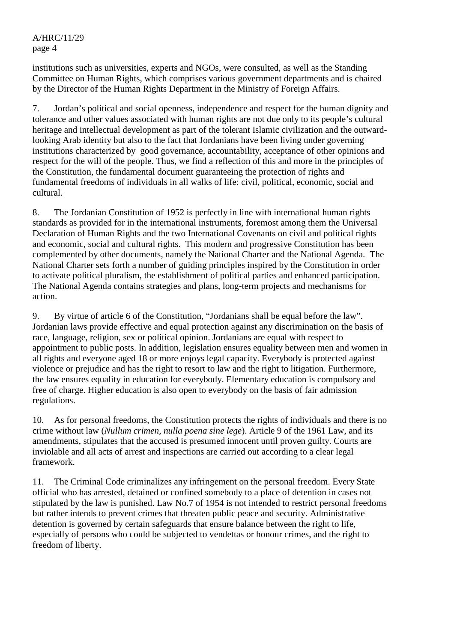institutions such as universities, experts and NGOs, were consulted, as well as the Standing Committee on Human Rights, which comprises various government departments and is chaired by the Director of the Human Rights Department in the Ministry of Foreign Affairs.

7. Jordan's political and social openness, independence and respect for the human dignity and tolerance and other values associated with human rights are not due only to its people's cultural heritage and intellectual development as part of the tolerant Islamic civilization and the outwardlooking Arab identity but also to the fact that Jordanians have been living under governing institutions characterized by good governance, accountability, acceptance of other opinions and respect for the will of the people. Thus, we find a reflection of this and more in the principles of the Constitution, the fundamental document guaranteeing the protection of rights and fundamental freedoms of individuals in all walks of life: civil, political, economic, social and cultural.

8. The Jordanian Constitution of 1952 is perfectly in line with international human rights standards as provided for in the international instruments, foremost among them the Universal Declaration of Human Rights and the two International Covenants on civil and political rights and economic, social and cultural rights. This modern and progressive Constitution has been complemented by other documents, namely the National Charter and the National Agenda. The National Charter sets forth a number of guiding principles inspired by the Constitution in order to activate political pluralism, the establishment of political parties and enhanced participation. The National Agenda contains strategies and plans, long-term projects and mechanisms for action.

9. By virtue of article 6 of the Constitution, "Jordanians shall be equal before the law". Jordanian laws provide effective and equal protection against any discrimination on the basis of race, language, religion, sex or political opinion. Jordanians are equal with respect to appointment to public posts. In addition, legislation ensures equality between men and women in all rights and everyone aged 18 or more enjoys legal capacity. Everybody is protected against violence or prejudice and has the right to resort to law and the right to litigation. Furthermore, the law ensures equality in education for everybody. Elementary education is compulsory and free of charge. Higher education is also open to everybody on the basis of fair admission regulations.

10. As for personal freedoms, the Constitution protects the rights of individuals and there is no crime without law (*Nullum crimen, nulla poena sine lege*). Article 9 of the 1961 Law, and its amendments, stipulates that the accused is presumed innocent until proven guilty. Courts are inviolable and all acts of arrest and inspections are carried out according to a clear legal framework.

11. The Criminal Code criminalizes any infringement on the personal freedom. Every State official who has arrested, detained or confined somebody to a place of detention in cases not stipulated by the law is punished. Law No.7 of 1954 is not intended to restrict personal freedoms but rather intends to prevent crimes that threaten public peace and security. Administrative detention is governed by certain safeguards that ensure balance between the right to life, especially of persons who could be subjected to vendettas or honour crimes, and the right to freedom of liberty.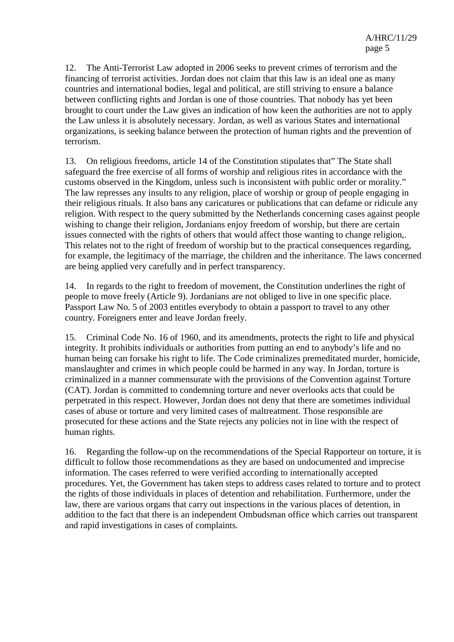12. The Anti-Terrorist Law adopted in 2006 seeks to prevent crimes of terrorism and the financing of terrorist activities. Jordan does not claim that this law is an ideal one as many countries and international bodies, legal and political, are still striving to ensure a balance between conflicting rights and Jordan is one of those countries. That nobody has yet been brought to court under the Law gives an indication of how keen the authorities are not to apply the Law unless it is absolutely necessary. Jordan, as well as various States and international organizations, is seeking balance between the protection of human rights and the prevention of terrorism.

13. On religious freedoms, article 14 of the Constitution stipulates that" The State shall safeguard the free exercise of all forms of worship and religious rites in accordance with the customs observed in the Kingdom, unless such is inconsistent with public order or morality." The law represses any insults to any religion, place of worship or group of people engaging in their religious rituals. It also bans any caricatures or publications that can defame or ridicule any religion. With respect to the query submitted by the Netherlands concerning cases against people wishing to change their religion, Jordanians enjoy freedom of worship, but there are certain issues connected with the rights of others that would affect those wanting to change religion,. This relates not to the right of freedom of worship but to the practical consequences regarding, for example, the legitimacy of the marriage, the children and the inheritance. The laws concerned are being applied very carefully and in perfect transparency.

14. In regards to the right to freedom of movement, the Constitution underlines the right of people to move freely (Article 9). Jordanians are not obliged to live in one specific place. Passport Law No. 5 of 2003 entitles everybody to obtain a passport to travel to any other country. Foreigners enter and leave Jordan freely.

15. Criminal Code No. 16 of 1960, and its amendments, protects the right to life and physical integrity. It prohibits individuals or authorities from putting an end to anybody's life and no human being can forsake his right to life. The Code criminalizes premeditated murder, homicide, manslaughter and crimes in which people could be harmed in any way. In Jordan, torture is criminalized in a manner commensurate with the provisions of the Convention against Torture (CAT). Jordan is committed to condemning torture and never overlooks acts that could be perpetrated in this respect. However, Jordan does not deny that there are sometimes individual cases of abuse or torture and very limited cases of maltreatment. Those responsible are prosecuted for these actions and the State rejects any policies not in line with the respect of human rights.

16. Regarding the follow-up on the recommendations of the Special Rapporteur on torture, it is difficult to follow those recommendations as they are based on undocumented and imprecise information. The cases referred to were verified according to internationally accepted procedures. Yet, the Government has taken steps to address cases related to torture and to protect the rights of those individuals in places of detention and rehabilitation. Furthermore, under the law, there are various organs that carry out inspections in the various places of detention, in addition to the fact that there is an independent Ombudsman office which carries out transparent and rapid investigations in cases of complaints.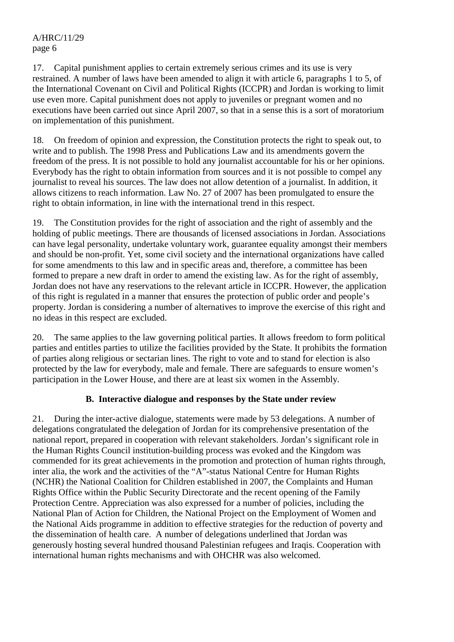17. Capital punishment applies to certain extremely serious crimes and its use is very restrained. A number of laws have been amended to align it with article 6, paragraphs 1 to 5, of the International Covenant on Civil and Political Rights (ICCPR) and Jordan is working to limit use even more. Capital punishment does not apply to juveniles or pregnant women and no executions have been carried out since April 2007, so that in a sense this is a sort of moratorium on implementation of this punishment.

18. On freedom of opinion and expression, the Constitution protects the right to speak out, to write and to publish. The 1998 Press and Publications Law and its amendments govern the freedom of the press. It is not possible to hold any journalist accountable for his or her opinions. Everybody has the right to obtain information from sources and it is not possible to compel any journalist to reveal his sources. The law does not allow detention of a journalist. In addition, it allows citizens to reach information. Law No. 27 of 2007 has been promulgated to ensure the right to obtain information, in line with the international trend in this respect.

19. The Constitution provides for the right of association and the right of assembly and the holding of public meetings. There are thousands of licensed associations in Jordan. Associations can have legal personality, undertake voluntary work, guarantee equality amongst their members and should be non-profit. Yet, some civil society and the international organizations have called for some amendments to this law and in specific areas and, therefore, a committee has been formed to prepare a new draft in order to amend the existing law. As for the right of assembly, Jordan does not have any reservations to the relevant article in ICCPR. However, the application of this right is regulated in a manner that ensures the protection of public order and people's property. Jordan is considering a number of alternatives to improve the exercise of this right and no ideas in this respect are excluded.

20. The same applies to the law governing political parties. It allows freedom to form political parties and entitles parties to utilize the facilities provided by the State. It prohibits the formation of parties along religious or sectarian lines. The right to vote and to stand for election is also protected by the law for everybody, male and female. There are safeguards to ensure women's participation in the Lower House, and there are at least six women in the Assembly.

### **B. Interactive dialogue and responses by the State under review**

21. During the inter-active dialogue, statements were made by 53 delegations. A number of delegations congratulated the delegation of Jordan for its comprehensive presentation of the national report, prepared in cooperation with relevant stakeholders. Jordan's significant role in the Human Rights Council institution-building process was evoked and the Kingdom was commended for its great achievements in the promotion and protection of human rights through, inter alia, the work and the activities of the "A"-status National Centre for Human Rights (NCHR) the National Coalition for Children established in 2007, the Complaints and Human Rights Office within the Public Security Directorate and the recent opening of the Family Protection Centre. Appreciation was also expressed for a number of policies, including the National Plan of Action for Children, the National Project on the Employment of Women and the National Aids programme in addition to effective strategies for the reduction of poverty and the dissemination of health care. A number of delegations underlined that Jordan was generously hosting several hundred thousand Palestinian refugees and Iraqis. Cooperation with international human rights mechanisms and with OHCHR was also welcomed.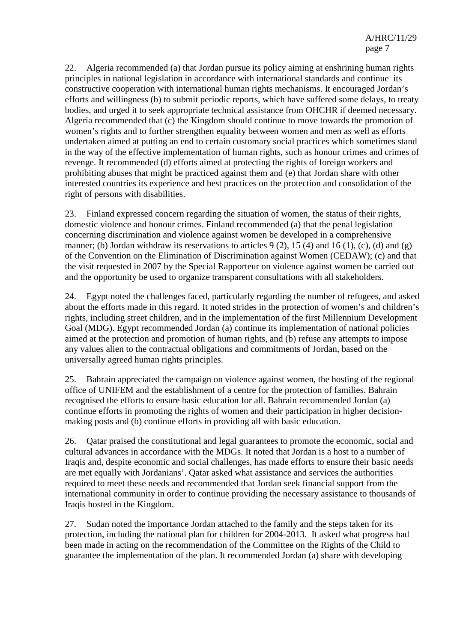22. Algeria recommended (a) that Jordan pursue its policy aiming at enshrining human rights principles in national legislation in accordance with international standards and continue its constructive cooperation with international human rights mechanisms. It encouraged Jordan's efforts and willingness (b) to submit periodic reports, which have suffered some delays, to treaty bodies, and urged it to seek appropriate technical assistance from OHCHR if deemed necessary. Algeria recommended that (c) the Kingdom should continue to move towards the promotion of women's rights and to further strengthen equality between women and men as well as efforts undertaken aimed at putting an end to certain customary social practices which sometimes stand in the way of the effective implementation of human rights, such as honour crimes and crimes of revenge. It recommended (d) efforts aimed at protecting the rights of foreign workers and prohibiting abuses that might be practiced against them and (e) that Jordan share with other interested countries its experience and best practices on the protection and consolidation of the right of persons with disabilities.

23. Finland expressed concern regarding the situation of women, the status of their rights, domestic violence and honour crimes. Finland recommended (a) that the penal legislation concerning discrimination and violence against women be developed in a comprehensive manner; (b) Jordan withdraw its reservations to articles  $9(2)$ , 15 (4) and 16 (1), (c), (d) and (g) of the Convention on the Elimination of Discrimination against Women (CEDAW); (c) and that the visit requested in 2007 by the Special Rapporteur on violence against women be carried out and the opportunity be used to organize transparent consultations with all stakeholders.

24. Egypt noted the challenges faced, particularly regarding the number of refugees, and asked about the efforts made in this regard. It noted strides in the protection of women's and children's rights, including street children, and in the implementation of the first Millennium Development Goal (MDG). Egypt recommended Jordan (a) continue its implementation of national policies aimed at the protection and promotion of human rights, and (b) refuse any attempts to impose any values alien to the contractual obligations and commitments of Jordan, based on the universally agreed human rights principles.

25. Bahrain appreciated the campaign on violence against women, the hosting of the regional office of UNIFEM and the establishment of a centre for the protection of families. Bahrain recognised the efforts to ensure basic education for all. Bahrain recommended Jordan (a) continue efforts in promoting the rights of women and their participation in higher decisionmaking posts and (b) continue efforts in providing all with basic education.

26. Qatar praised the constitutional and legal guarantees to promote the economic, social and cultural advances in accordance with the MDGs. It noted that Jordan is a host to a number of Iraqis and, despite economic and social challenges, has made efforts to ensure their basic needs are met equally with Jordanians'. Qatar asked what assistance and services the authorities required to meet these needs and recommended that Jordan seek financial support from the international community in order to continue providing the necessary assistance to thousands of Iraqis hosted in the Kingdom.

27. Sudan noted the importance Jordan attached to the family and the steps taken for its protection, including the national plan for children for 2004-2013. It asked what progress had been made in acting on the recommendation of the Committee on the Rights of the Child to guarantee the implementation of the plan. It recommended Jordan (a) share with developing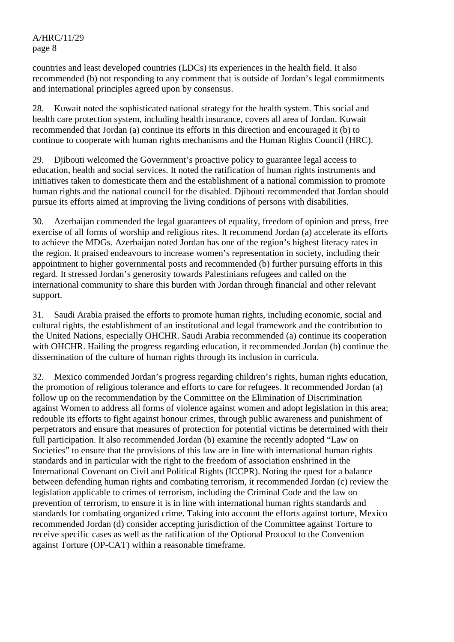countries and least developed countries (LDCs) its experiences in the health field. It also recommended (b) not responding to any comment that is outside of Jordan's legal commitments and international principles agreed upon by consensus.

28. Kuwait noted the sophisticated national strategy for the health system. This social and health care protection system, including health insurance, covers all area of Jordan. Kuwait recommended that Jordan (a) continue its efforts in this direction and encouraged it (b) to continue to cooperate with human rights mechanisms and the Human Rights Council (HRC).

29. Djibouti welcomed the Government's proactive policy to guarantee legal access to education, health and social services. It noted the ratification of human rights instruments and initiatives taken to domesticate them and the establishment of a national commission to promote human rights and the national council for the disabled. Djibouti recommended that Jordan should pursue its efforts aimed at improving the living conditions of persons with disabilities.

30. Azerbaijan commended the legal guarantees of equality, freedom of opinion and press, free exercise of all forms of worship and religious rites. It recommend Jordan (a) accelerate its efforts to achieve the MDGs. Azerbaijan noted Jordan has one of the region's highest literacy rates in the region. It praised endeavours to increase women's representation in society, including their appointment to higher governmental posts and recommended (b) further pursuing efforts in this regard. It stressed Jordan's generosity towards Palestinians refugees and called on the international community to share this burden with Jordan through financial and other relevant support.

31. Saudi Arabia praised the efforts to promote human rights, including economic, social and cultural rights, the establishment of an institutional and legal framework and the contribution to the United Nations, especially OHCHR. Saudi Arabia recommended (a) continue its cooperation with OHCHR. Hailing the progress regarding education, it recommended Jordan (b) continue the dissemination of the culture of human rights through its inclusion in curricula.

32. Mexico commended Jordan's progress regarding children's rights, human rights education, the promotion of religious tolerance and efforts to care for refugees. It recommended Jordan (a) follow up on the recommendation by the Committee on the Elimination of Discrimination against Women to address all forms of violence against women and adopt legislation in this area; redouble its efforts to fight against honour crimes, through public awareness and punishment of perpetrators and ensure that measures of protection for potential victims be determined with their full participation. It also recommended Jordan (b) examine the recently adopted "Law on Societies" to ensure that the provisions of this law are in line with international human rights standards and in particular with the right to the freedom of association enshrined in the International Covenant on Civil and Political Rights (ICCPR). Noting the quest for a balance between defending human rights and combating terrorism, it recommended Jordan (c) review the legislation applicable to crimes of terrorism, including the Criminal Code and the law on prevention of terrorism, to ensure it is in line with international human rights standards and standards for combating organized crime. Taking into account the efforts against torture, Mexico recommended Jordan (d) consider accepting jurisdiction of the Committee against Torture to receive specific cases as well as the ratification of the Optional Protocol to the Convention against Torture (OP-CAT) within a reasonable timeframe.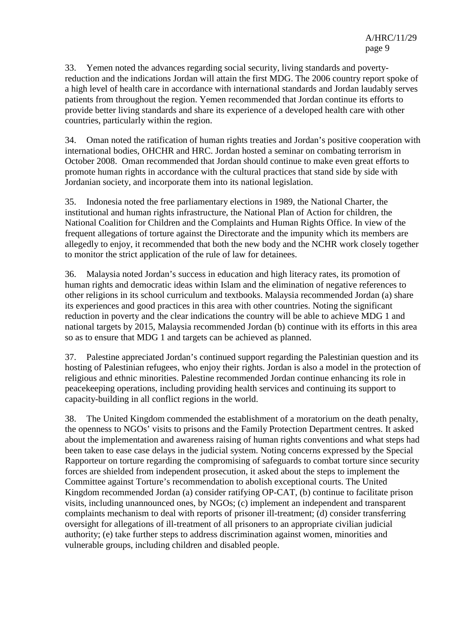33. Yemen noted the advances regarding social security, living standards and povertyreduction and the indications Jordan will attain the first MDG. The 2006 country report spoke of a high level of health care in accordance with international standards and Jordan laudably serves patients from throughout the region. Yemen recommended that Jordan continue its efforts to provide better living standards and share its experience of a developed health care with other countries, particularly within the region.

34. Oman noted the ratification of human rights treaties and Jordan's positive cooperation with international bodies, OHCHR and HRC. Jordan hosted a seminar on combating terrorism in October 2008. Oman recommended that Jordan should continue to make even great efforts to promote human rights in accordance with the cultural practices that stand side by side with Jordanian society, and incorporate them into its national legislation.

35. Indonesia noted the free parliamentary elections in 1989, the National Charter, the institutional and human rights infrastructure, the National Plan of Action for children, the National Coalition for Children and the Complaints and Human Rights Office. In view of the frequent allegations of torture against the Directorate and the impunity which its members are allegedly to enjoy, it recommended that both the new body and the NCHR work closely together to monitor the strict application of the rule of law for detainees.

36. Malaysia noted Jordan's success in education and high literacy rates, its promotion of human rights and democratic ideas within Islam and the elimination of negative references to other religions in its school curriculum and textbooks. Malaysia recommended Jordan (a) share its experiences and good practices in this area with other countries. Noting the significant reduction in poverty and the clear indications the country will be able to achieve MDG 1 and national targets by 2015, Malaysia recommended Jordan (b) continue with its efforts in this area so as to ensure that MDG 1 and targets can be achieved as planned.

37. Palestine appreciated Jordan's continued support regarding the Palestinian question and its hosting of Palestinian refugees, who enjoy their rights. Jordan is also a model in the protection of religious and ethnic minorities. Palestine recommended Jordan continue enhancing its role in peacekeeping operations, including providing health services and continuing its support to capacity-building in all conflict regions in the world.

38. The United Kingdom commended the establishment of a moratorium on the death penalty, the openness to NGOs' visits to prisons and the Family Protection Department centres. It asked about the implementation and awareness raising of human rights conventions and what steps had been taken to ease case delays in the judicial system. Noting concerns expressed by the Special Rapporteur on torture regarding the compromising of safeguards to combat torture since security forces are shielded from independent prosecution, it asked about the steps to implement the Committee against Torture's recommendation to abolish exceptional courts. The United Kingdom recommended Jordan (a) consider ratifying OP-CAT, (b) continue to facilitate prison visits, including unannounced ones, by NGOs; (c) implement an independent and transparent complaints mechanism to deal with reports of prisoner ill-treatment; (d) consider transferring oversight for allegations of ill-treatment of all prisoners to an appropriate civilian judicial authority; (e) take further steps to address discrimination against women, minorities and vulnerable groups, including children and disabled people.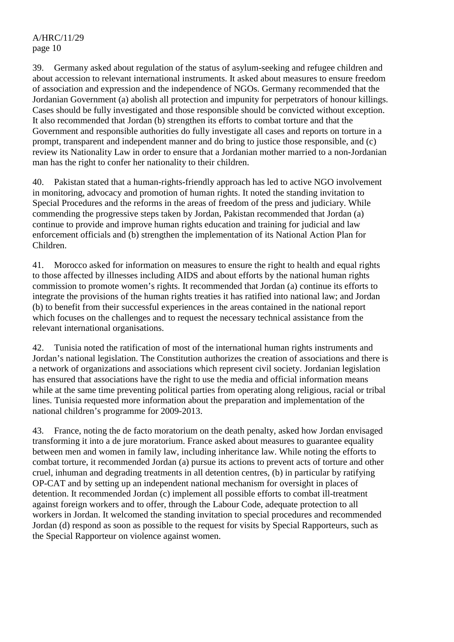39. Germany asked about regulation of the status of asylum-seeking and refugee children and about accession to relevant international instruments. It asked about measures to ensure freedom of association and expression and the independence of NGOs. Germany recommended that the Jordanian Government (a) abolish all protection and impunity for perpetrators of honour killings. Cases should be fully investigated and those responsible should be convicted without exception. It also recommended that Jordan (b) strengthen its efforts to combat torture and that the Government and responsible authorities do fully investigate all cases and reports on torture in a prompt, transparent and independent manner and do bring to justice those responsible, and (c) review its Nationality Law in order to ensure that a Jordanian mother married to a non-Jordanian man has the right to confer her nationality to their children.

40. Pakistan stated that a human-rights-friendly approach has led to active NGO involvement in monitoring, advocacy and promotion of human rights. It noted the standing invitation to Special Procedures and the reforms in the areas of freedom of the press and judiciary. While commending the progressive steps taken by Jordan, Pakistan recommended that Jordan (a) continue to provide and improve human rights education and training for judicial and law enforcement officials and (b) strengthen the implementation of its National Action Plan for Children.

41. Morocco asked for information on measures to ensure the right to health and equal rights to those affected by illnesses including AIDS and about efforts by the national human rights commission to promote women's rights. It recommended that Jordan (a) continue its efforts to integrate the provisions of the human rights treaties it has ratified into national law; and Jordan (b) to benefit from their successful experiences in the areas contained in the national report which focuses on the challenges and to request the necessary technical assistance from the relevant international organisations.

42. Tunisia noted the ratification of most of the international human rights instruments and Jordan's national legislation. The Constitution authorizes the creation of associations and there is a network of organizations and associations which represent civil society. Jordanian legislation has ensured that associations have the right to use the media and official information means while at the same time preventing political parties from operating along religious, racial or tribal lines. Tunisia requested more information about the preparation and implementation of the national children's programme for 2009-2013.

43. France, noting the de facto moratorium on the death penalty, asked how Jordan envisaged transforming it into a de jure moratorium. France asked about measures to guarantee equality between men and women in family law, including inheritance law. While noting the efforts to combat torture, it recommended Jordan (a) pursue its actions to prevent acts of torture and other cruel, inhuman and degrading treatments in all detention centres, (b) in particular by ratifying OP-CAT and by setting up an independent national mechanism for oversight in places of detention. It recommended Jordan (c) implement all possible efforts to combat ill-treatment against foreign workers and to offer, through the Labour Code, adequate protection to all workers in Jordan. It welcomed the standing invitation to special procedures and recommended Jordan (d) respond as soon as possible to the request for visits by Special Rapporteurs, such as the Special Rapporteur on violence against women.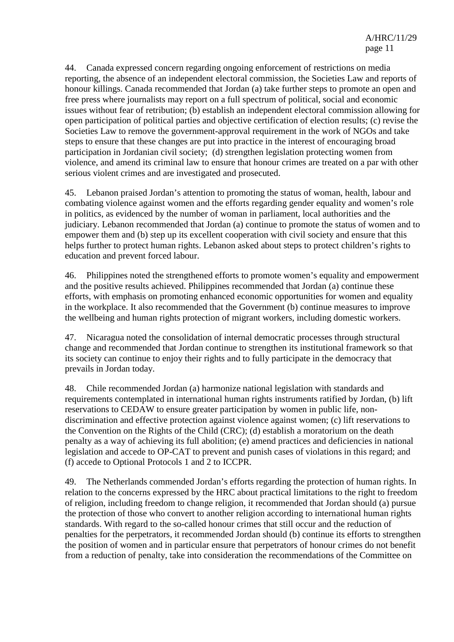44. Canada expressed concern regarding ongoing enforcement of restrictions on media reporting, the absence of an independent electoral commission, the Societies Law and reports of honour killings. Canada recommended that Jordan (a) take further steps to promote an open and free press where journalists may report on a full spectrum of political, social and economic issues without fear of retribution; (b) establish an independent electoral commission allowing for open participation of political parties and objective certification of election results; (c) revise the Societies Law to remove the government-approval requirement in the work of NGOs and take steps to ensure that these changes are put into practice in the interest of encouraging broad participation in Jordanian civil society; (d) strengthen legislation protecting women from violence, and amend its criminal law to ensure that honour crimes are treated on a par with other serious violent crimes and are investigated and prosecuted.

45. Lebanon praised Jordan's attention to promoting the status of woman, health, labour and combating violence against women and the efforts regarding gender equality and women's role in politics, as evidenced by the number of woman in parliament, local authorities and the judiciary. Lebanon recommended that Jordan (a) continue to promote the status of women and to empower them and (b) step up its excellent cooperation with civil society and ensure that this helps further to protect human rights. Lebanon asked about steps to protect children's rights to education and prevent forced labour.

46. Philippines noted the strengthened efforts to promote women's equality and empowerment and the positive results achieved. Philippines recommended that Jordan (a) continue these efforts, with emphasis on promoting enhanced economic opportunities for women and equality in the workplace. It also recommended that the Government (b) continue measures to improve the wellbeing and human rights protection of migrant workers, including domestic workers.

47. Nicaragua noted the consolidation of internal democratic processes through structural change and recommended that Jordan continue to strengthen its institutional framework so that its society can continue to enjoy their rights and to fully participate in the democracy that prevails in Jordan today.

48. Chile recommended Jordan (a) harmonize national legislation with standards and requirements contemplated in international human rights instruments ratified by Jordan, (b) lift reservations to CEDAW to ensure greater participation by women in public life, nondiscrimination and effective protection against violence against women; (c) lift reservations to the Convention on the Rights of the Child (CRC); (d) establish a moratorium on the death penalty as a way of achieving its full abolition; (e) amend practices and deficiencies in national legislation and accede to OP-CAT to prevent and punish cases of violations in this regard; and (f) accede to Optional Protocols 1 and 2 to ICCPR.

49. The Netherlands commended Jordan's efforts regarding the protection of human rights. In relation to the concerns expressed by the HRC about practical limitations to the right to freedom of religion, including freedom to change religion, it recommended that Jordan should (a) pursue the protection of those who convert to another religion according to international human rights standards. With regard to the so-called honour crimes that still occur and the reduction of penalties for the perpetrators, it recommended Jordan should (b) continue its efforts to strengthen the position of women and in particular ensure that perpetrators of honour crimes do not benefit from a reduction of penalty, take into consideration the recommendations of the Committee on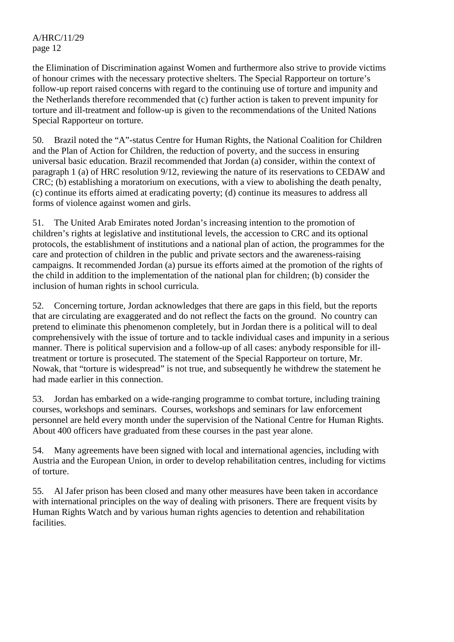the Elimination of Discrimination against Women and furthermore also strive to provide victims of honour crimes with the necessary protective shelters. The Special Rapporteur on torture's follow-up report raised concerns with regard to the continuing use of torture and impunity and the Netherlands therefore recommended that (c) further action is taken to prevent impunity for torture and ill-treatment and follow-up is given to the recommendations of the United Nations Special Rapporteur on torture.

50. Brazil noted the "A"-status Centre for Human Rights, the National Coalition for Children and the Plan of Action for Children, the reduction of poverty, and the success in ensuring universal basic education. Brazil recommended that Jordan (a) consider, within the context of paragraph 1 (a) of HRC resolution 9/12, reviewing the nature of its reservations to CEDAW and CRC; (b) establishing a moratorium on executions, with a view to abolishing the death penalty, (c) continue its efforts aimed at eradicating poverty; (d) continue its measures to address all forms of violence against women and girls.

51. The United Arab Emirates noted Jordan's increasing intention to the promotion of children's rights at legislative and institutional levels, the accession to CRC and its optional protocols, the establishment of institutions and a national plan of action, the programmes for the care and protection of children in the public and private sectors and the awareness-raising campaigns. It recommended Jordan (a) pursue its efforts aimed at the promotion of the rights of the child in addition to the implementation of the national plan for children; (b) consider the inclusion of human rights in school curricula.

52. Concerning torture, Jordan acknowledges that there are gaps in this field, but the reports that are circulating are exaggerated and do not reflect the facts on the ground. No country can pretend to eliminate this phenomenon completely, but in Jordan there is a political will to deal comprehensively with the issue of torture and to tackle individual cases and impunity in a serious manner. There is political supervision and a follow-up of all cases: anybody responsible for illtreatment or torture is prosecuted. The statement of the Special Rapporteur on torture, Mr. Nowak, that "torture is widespread" is not true, and subsequently he withdrew the statement he had made earlier in this connection.

53. Jordan has embarked on a wide-ranging programme to combat torture, including training courses, workshops and seminars. Courses, workshops and seminars for law enforcement personnel are held every month under the supervision of the National Centre for Human Rights. About 400 officers have graduated from these courses in the past year alone.

54. Many agreements have been signed with local and international agencies, including with Austria and the European Union, in order to develop rehabilitation centres, including for victims of torture.

55. Al Jafer prison has been closed and many other measures have been taken in accordance with international principles on the way of dealing with prisoners. There are frequent visits by Human Rights Watch and by various human rights agencies to detention and rehabilitation facilities.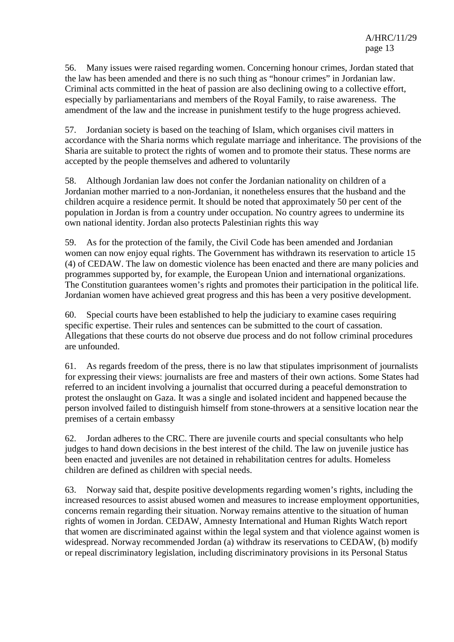56. Many issues were raised regarding women. Concerning honour crimes, Jordan stated that the law has been amended and there is no such thing as "honour crimes" in Jordanian law. Criminal acts committed in the heat of passion are also declining owing to a collective effort, especially by parliamentarians and members of the Royal Family, to raise awareness. The amendment of the law and the increase in punishment testify to the huge progress achieved.

57. Jordanian society is based on the teaching of Islam, which organises civil matters in accordance with the Sharia norms which regulate marriage and inheritance. The provisions of the Sharia are suitable to protect the rights of women and to promote their status. These norms are accepted by the people themselves and adhered to voluntarily

58. Although Jordanian law does not confer the Jordanian nationality on children of a Jordanian mother married to a non-Jordanian, it nonetheless ensures that the husband and the children acquire a residence permit. It should be noted that approximately 50 per cent of the population in Jordan is from a country under occupation. No country agrees to undermine its own national identity. Jordan also protects Palestinian rights this way

59. As for the protection of the family, the Civil Code has been amended and Jordanian women can now enjoy equal rights. The Government has withdrawn its reservation to article 15 (4) of CEDAW. The law on domestic violence has been enacted and there are many policies and programmes supported by, for example, the European Union and international organizations. The Constitution guarantees women's rights and promotes their participation in the political life. Jordanian women have achieved great progress and this has been a very positive development.

60. Special courts have been established to help the judiciary to examine cases requiring specific expertise. Their rules and sentences can be submitted to the court of cassation. Allegations that these courts do not observe due process and do not follow criminal procedures are unfounded.

61. As regards freedom of the press, there is no law that stipulates imprisonment of journalists for expressing their views: journalists are free and masters of their own actions. Some States had referred to an incident involving a journalist that occurred during a peaceful demonstration to protest the onslaught on Gaza. It was a single and isolated incident and happened because the person involved failed to distinguish himself from stone-throwers at a sensitive location near the premises of a certain embassy

62. Jordan adheres to the CRC. There are juvenile courts and special consultants who help judges to hand down decisions in the best interest of the child. The law on juvenile justice has been enacted and juveniles are not detained in rehabilitation centres for adults. Homeless children are defined as children with special needs.

63. Norway said that, despite positive developments regarding women's rights, including the increased resources to assist abused women and measures to increase employment opportunities, concerns remain regarding their situation. Norway remains attentive to the situation of human rights of women in Jordan. CEDAW, Amnesty International and Human Rights Watch report that women are discriminated against within the legal system and that violence against women is widespread. Norway recommended Jordan (a) withdraw its reservations to CEDAW, (b) modify or repeal discriminatory legislation, including discriminatory provisions in its Personal Status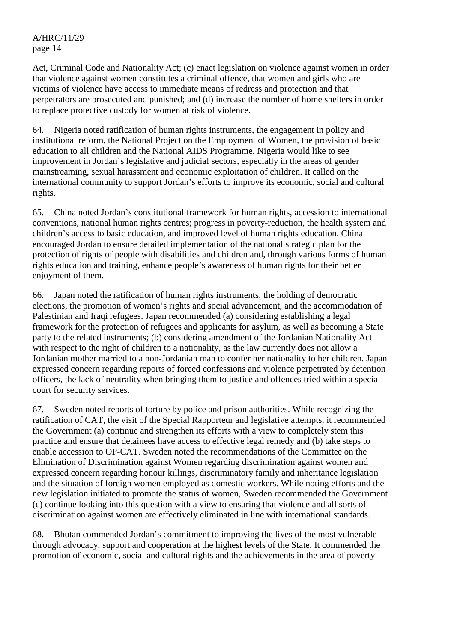Act, Criminal Code and Nationality Act; (c) enact legislation on violence against women in order that violence against women constitutes a criminal offence, that women and girls who are victims of violence have access to immediate means of redress and protection and that perpetrators are prosecuted and punished; and (d) increase the number of home shelters in order to replace protective custody for women at risk of violence.

64. Nigeria noted ratification of human rights instruments, the engagement in policy and institutional reform, the National Project on the Employment of Women, the provision of basic education to all children and the National AIDS Programme. Nigeria would like to see improvement in Jordan's legislative and judicial sectors, especially in the areas of gender mainstreaming, sexual harassment and economic exploitation of children. It called on the international community to support Jordan's efforts to improve its economic, social and cultural rights.

65. China noted Jordan's constitutional framework for human rights, accession to international conventions, national human rights centres; progress in poverty-reduction, the health system and children's access to basic education, and improved level of human rights education. China encouraged Jordan to ensure detailed implementation of the national strategic plan for the protection of rights of people with disabilities and children and, through various forms of human rights education and training, enhance people's awareness of human rights for their better enjoyment of them.

66. Japan noted the ratification of human rights instruments, the holding of democratic elections, the promotion of women's rights and social advancement, and the accommodation of Palestinian and Iraqi refugees. Japan recommended (a) considering establishing a legal framework for the protection of refugees and applicants for asylum, as well as becoming a State party to the related instruments; (b) considering amendment of the Jordanian Nationality Act with respect to the right of children to a nationality, as the law currently does not allow a Jordanian mother married to a non-Jordanian man to confer her nationality to her children. Japan expressed concern regarding reports of forced confessions and violence perpetrated by detention officers, the lack of neutrality when bringing them to justice and offences tried within a special court for security services.

67. Sweden noted reports of torture by police and prison authorities. While recognizing the ratification of CAT, the visit of the Special Rapporteur and legislative attempts, it recommended the Government (a) continue and strengthen its efforts with a view to completely stem this practice and ensure that detainees have access to effective legal remedy and (b) take steps to enable accession to OP-CAT. Sweden noted the recommendations of the Committee on the Elimination of Discrimination against Women regarding discrimination against women and expressed concern regarding honour killings, discriminatory family and inheritance legislation and the situation of foreign women employed as domestic workers. While noting efforts and the new legislation initiated to promote the status of women, Sweden recommended the Government (c) continue looking into this question with a view to ensuring that violence and all sorts of discrimination against women are effectively eliminated in line with international standards.

68. Bhutan commended Jordan's commitment to improving the lives of the most vulnerable through advocacy, support and cooperation at the highest levels of the State. It commended the promotion of economic, social and cultural rights and the achievements in the area of poverty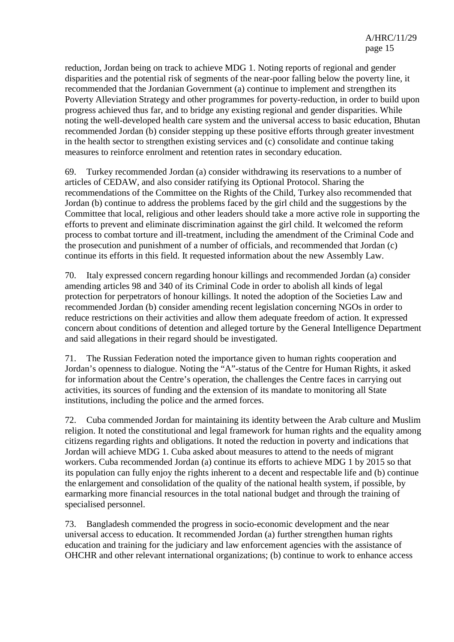reduction, Jordan being on track to achieve MDG 1. Noting reports of regional and gender disparities and the potential risk of segments of the near-poor falling below the poverty line, it recommended that the Jordanian Government (a) continue to implement and strengthen its Poverty Alleviation Strategy and other programmes for poverty-reduction, in order to build upon progress achieved thus far, and to bridge any existing regional and gender disparities. While noting the well-developed health care system and the universal access to basic education, Bhutan recommended Jordan (b) consider stepping up these positive efforts through greater investment in the health sector to strengthen existing services and (c) consolidate and continue taking measures to reinforce enrolment and retention rates in secondary education.

69. Turkey recommended Jordan (a) consider withdrawing its reservations to a number of articles of CEDAW, and also consider ratifying its Optional Protocol. Sharing the recommendations of the Committee on the Rights of the Child, Turkey also recommended that Jordan (b) continue to address the problems faced by the girl child and the suggestions by the Committee that local, religious and other leaders should take a more active role in supporting the efforts to prevent and eliminate discrimination against the girl child. It welcomed the reform process to combat torture and ill-treatment, including the amendment of the Criminal Code and the prosecution and punishment of a number of officials, and recommended that Jordan (c) continue its efforts in this field. It requested information about the new Assembly Law.

70. Italy expressed concern regarding honour killings and recommended Jordan (a) consider amending articles 98 and 340 of its Criminal Code in order to abolish all kinds of legal protection for perpetrators of honour killings. It noted the adoption of the Societies Law and recommended Jordan (b) consider amending recent legislation concerning NGOs in order to reduce restrictions on their activities and allow them adequate freedom of action. It expressed concern about conditions of detention and alleged torture by the General Intelligence Department and said allegations in their regard should be investigated.

71. The Russian Federation noted the importance given to human rights cooperation and Jordan's openness to dialogue. Noting the "A"-status of the Centre for Human Rights, it asked for information about the Centre's operation, the challenges the Centre faces in carrying out activities, its sources of funding and the extension of its mandate to monitoring all State institutions, including the police and the armed forces.

72. Cuba commended Jordan for maintaining its identity between the Arab culture and Muslim religion. It noted the constitutional and legal framework for human rights and the equality among citizens regarding rights and obligations. It noted the reduction in poverty and indications that Jordan will achieve MDG 1. Cuba asked about measures to attend to the needs of migrant workers. Cuba recommended Jordan (a) continue its efforts to achieve MDG 1 by 2015 so that its population can fully enjoy the rights inherent to a decent and respectable life and (b) continue the enlargement and consolidation of the quality of the national health system, if possible, by earmarking more financial resources in the total national budget and through the training of specialised personnel.

73. Bangladesh commended the progress in socio-economic development and the near universal access to education. It recommended Jordan (a) further strengthen human rights education and training for the judiciary and law enforcement agencies with the assistance of OHCHR and other relevant international organizations; (b) continue to work to enhance access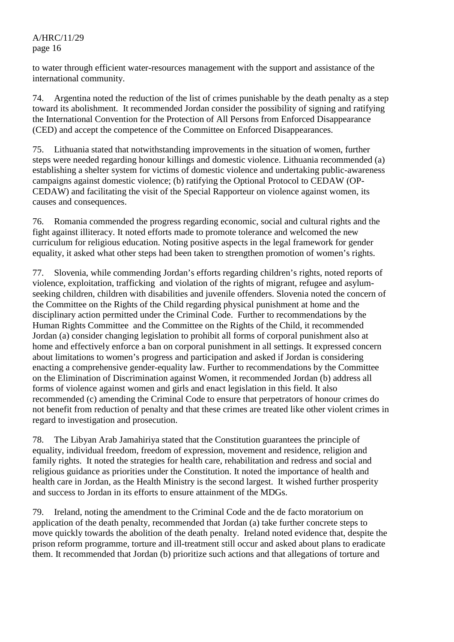to water through efficient water-resources management with the support and assistance of the international community.

74. Argentina noted the reduction of the list of crimes punishable by the death penalty as a step toward its abolishment. It recommended Jordan consider the possibility of signing and ratifying the International Convention for the Protection of All Persons from Enforced Disappearance (CED) and accept the competence of the Committee on Enforced Disappearances.

75. Lithuania stated that notwithstanding improvements in the situation of women, further steps were needed regarding honour killings and domestic violence. Lithuania recommended (a) establishing a shelter system for victims of domestic violence and undertaking public-awareness campaigns against domestic violence; (b) ratifying the Optional Protocol to CEDAW (OP-CEDAW) and facilitating the visit of the Special Rapporteur on violence against women, its causes and consequences.

76. Romania commended the progress regarding economic, social and cultural rights and the fight against illiteracy. It noted efforts made to promote tolerance and welcomed the new curriculum for religious education. Noting positive aspects in the legal framework for gender equality, it asked what other steps had been taken to strengthen promotion of women's rights.

77. Slovenia, while commending Jordan's efforts regarding children's rights, noted reports of violence, exploitation, trafficking and violation of the rights of migrant, refugee and asylumseeking children, children with disabilities and juvenile offenders. Slovenia noted the concern of the Committee on the Rights of the Child regarding physical punishment at home and the disciplinary action permitted under the Criminal Code. Further to recommendations by the Human Rights Committee and the Committee on the Rights of the Child, it recommended Jordan (a) consider changing legislation to prohibit all forms of corporal punishment also at home and effectively enforce a ban on corporal punishment in all settings. It expressed concern about limitations to women's progress and participation and asked if Jordan is considering enacting a comprehensive gender-equality law. Further to recommendations by the Committee on the Elimination of Discrimination against Women, it recommended Jordan (b) address all forms of violence against women and girls and enact legislation in this field. It also recommended (c) amending the Criminal Code to ensure that perpetrators of honour crimes do not benefit from reduction of penalty and that these crimes are treated like other violent crimes in regard to investigation and prosecution.

78. The Libyan Arab Jamahiriya stated that the Constitution guarantees the principle of equality, individual freedom, freedom of expression, movement and residence, religion and family rights. It noted the strategies for health care, rehabilitation and redress and social and religious guidance as priorities under the Constitution. It noted the importance of health and health care in Jordan, as the Health Ministry is the second largest. It wished further prosperity and success to Jordan in its efforts to ensure attainment of the MDGs.

79. Ireland, noting the amendment to the Criminal Code and the de facto moratorium on application of the death penalty, recommended that Jordan (a) take further concrete steps to move quickly towards the abolition of the death penalty. Ireland noted evidence that, despite the prison reform programme, torture and ill-treatment still occur and asked about plans to eradicate them. It recommended that Jordan (b) prioritize such actions and that allegations of torture and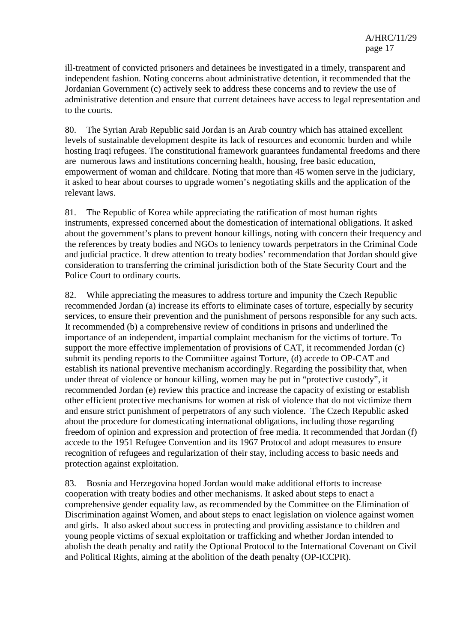ill-treatment of convicted prisoners and detainees be investigated in a timely, transparent and independent fashion. Noting concerns about administrative detention, it recommended that the Jordanian Government (c) actively seek to address these concerns and to review the use of administrative detention and ensure that current detainees have access to legal representation and to the courts.

80. The Syrian Arab Republic said Jordan is an Arab country which has attained excellent levels of sustainable development despite its lack of resources and economic burden and while hosting Iraqi refugees. The constitutional framework guarantees fundamental freedoms and there are numerous laws and institutions concerning health, housing, free basic education, empowerment of woman and childcare. Noting that more than 45 women serve in the judiciary, it asked to hear about courses to upgrade women's negotiating skills and the application of the relevant laws.

81. The Republic of Korea while appreciating the ratification of most human rights instruments, expressed concerned about the domestication of international obligations. It asked about the government's plans to prevent honour killings, noting with concern their frequency and the references by treaty bodies and NGOs to leniency towards perpetrators in the Criminal Code and judicial practice. It drew attention to treaty bodies' recommendation that Jordan should give consideration to transferring the criminal jurisdiction both of the State Security Court and the Police Court to ordinary courts.

82. While appreciating the measures to address torture and impunity the Czech Republic recommended Jordan (a) increase its efforts to eliminate cases of torture, especially by security services, to ensure their prevention and the punishment of persons responsible for any such acts. It recommended (b) a comprehensive review of conditions in prisons and underlined the importance of an independent, impartial complaint mechanism for the victims of torture. To support the more effective implementation of provisions of CAT, it recommended Jordan (c) submit its pending reports to the Commiittee against Torture, (d) accede to OP-CAT and establish its national preventive mechanism accordingly. Regarding the possibility that, when under threat of violence or honour killing, women may be put in "protective custody", it recommended Jordan (e) review this practice and increase the capacity of existing or establish other efficient protective mechanisms for women at risk of violence that do not victimize them and ensure strict punishment of perpetrators of any such violence. The Czech Republic asked about the procedure for domesticating international obligations, including those regarding freedom of opinion and expression and protection of free media. It recommended that Jordan (f) accede to the 1951 Refugee Convention and its 1967 Protocol and adopt measures to ensure recognition of refugees and regularization of their stay, including access to basic needs and protection against exploitation.

83. Bosnia and Herzegovina hoped Jordan would make additional efforts to increase cooperation with treaty bodies and other mechanisms. It asked about steps to enact a comprehensive gender equality law, as recommended by the Committee on the Elimination of Discrimination against Women, and about steps to enact legislation on violence against women and girls. It also asked about success in protecting and providing assistance to children and young people victims of sexual exploitation or trafficking and whether Jordan intended to abolish the death penalty and ratify the Optional Protocol to the International Covenant on Civil and Political Rights, aiming at the abolition of the death penalty (OP-ICCPR).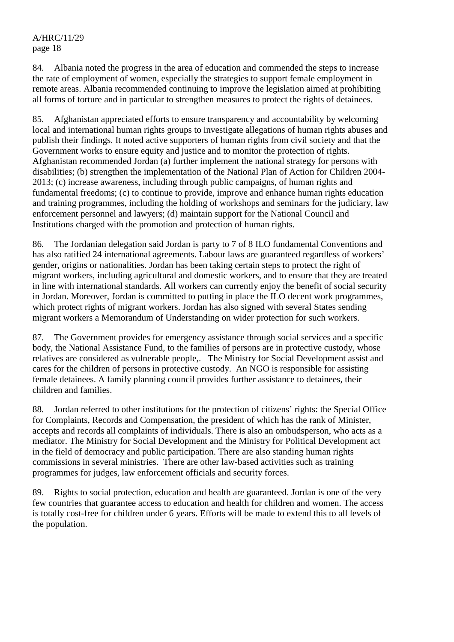84. Albania noted the progress in the area of education and commended the steps to increase the rate of employment of women, especially the strategies to support female employment in remote areas. Albania recommended continuing to improve the legislation aimed at prohibiting all forms of torture and in particular to strengthen measures to protect the rights of detainees.

85. Afghanistan appreciated efforts to ensure transparency and accountability by welcoming local and international human rights groups to investigate allegations of human rights abuses and publish their findings. It noted active supporters of human rights from civil society and that the Government works to ensure equity and justice and to monitor the protection of rights. Afghanistan recommended Jordan (a) further implement the national strategy for persons with disabilities; (b) strengthen the implementation of the National Plan of Action for Children 2004- 2013; (c) increase awareness, including through public campaigns, of human rights and fundamental freedoms; (c) to continue to provide, improve and enhance human rights education and training programmes, including the holding of workshops and seminars for the judiciary, law enforcement personnel and lawyers; (d) maintain support for the National Council and Institutions charged with the promotion and protection of human rights.

86. The Jordanian delegation said Jordan is party to 7 of 8 ILO fundamental Conventions and has also ratified 24 international agreements. Labour laws are guaranteed regardless of workers' gender, origins or nationalities. Jordan has been taking certain steps to protect the right of migrant workers, including agricultural and domestic workers, and to ensure that they are treated in line with international standards. All workers can currently enjoy the benefit of social security in Jordan. Moreover, Jordan is committed to putting in place the ILO decent work programmes, which protect rights of migrant workers. Jordan has also signed with several States sending migrant workers a Memorandum of Understanding on wider protection for such workers.

87. The Government provides for emergency assistance through social services and a specific body, the National Assistance Fund, to the families of persons are in protective custody, whose relatives are considered as vulnerable people,. The Ministry for Social Development assist and cares for the children of persons in protective custody. An NGO is responsible for assisting female detainees. A family planning council provides further assistance to detainees, their children and families.

88. Jordan referred to other institutions for the protection of citizens' rights: the Special Office for Complaints, Records and Compensation, the president of which has the rank of Minister, accepts and records all complaints of individuals. There is also an ombudsperson, who acts as a mediator. The Ministry for Social Development and the Ministry for Political Development act in the field of democracy and public participation. There are also standing human rights commissions in several ministries. There are other law-based activities such as training programmes for judges, law enforcement officials and security forces.

89. Rights to social protection, education and health are guaranteed. Jordan is one of the very few countries that guarantee access to education and health for children and women. The access is totally cost-free for children under 6 years. Efforts will be made to extend this to all levels of the population.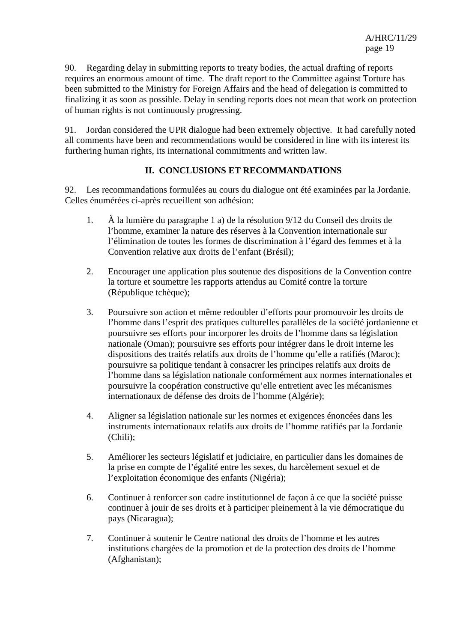90. Regarding delay in submitting reports to treaty bodies, the actual drafting of reports requires an enormous amount of time. The draft report to the Committee against Torture has been submitted to the Ministry for Foreign Affairs and the head of delegation is committed to finalizing it as soon as possible. Delay in sending reports does not mean that work on protection of human rights is not continuously progressing.

91. Jordan considered the UPR dialogue had been extremely objective. It had carefully noted all comments have been and recommendations would be considered in line with its interest its furthering human rights, its international commitments and written law.

## **II. CONCLUSIONS ET RECOMMANDATIONS**

92. Les recommandations formulées au cours du dialogue ont été examinées par la Jordanie. Celles énumérées ci-après recueillent son adhésion:

- 1. À la lumière du paragraphe 1 a) de la résolution 9/12 du Conseil des droits de l'homme, examiner la nature des réserves à la Convention internationale sur l'élimination de toutes les formes de discrimination à l'égard des femmes et à la Convention relative aux droits de l'enfant (Brésil);
- 2. Encourager une application plus soutenue des dispositions de la Convention contre la torture et soumettre les rapports attendus au Comité contre la torture (République tchèque);
- 3. Poursuivre son action et même redoubler d'efforts pour promouvoir les droits de l'homme dans l'esprit des pratiques culturelles parallèles de la société jordanienne et poursuivre ses efforts pour incorporer les droits de l'homme dans sa législation nationale (Oman); poursuivre ses efforts pour intégrer dans le droit interne les dispositions des traités relatifs aux droits de l'homme qu'elle a ratifiés (Maroc); poursuivre sa politique tendant à consacrer les principes relatifs aux droits de l'homme dans sa législation nationale conformément aux normes internationales et poursuivre la coopération constructive qu'elle entretient avec les mécanismes internationaux de défense des droits de l'homme (Algérie);
- 4. Aligner sa législation nationale sur les normes et exigences énoncées dans les instruments internationaux relatifs aux droits de l'homme ratifiés par la Jordanie (Chili);
- 5. Améliorer les secteurs législatif et judiciaire, en particulier dans les domaines de la prise en compte de l'égalité entre les sexes, du harcèlement sexuel et de l'exploitation économique des enfants (Nigéria);
- 6. Continuer à renforcer son cadre institutionnel de façon à ce que la société puisse continuer à jouir de ses droits et à participer pleinement à la vie démocratique du pays (Nicaragua);
- 7. Continuer à soutenir le Centre national des droits de l'homme et les autres institutions chargées de la promotion et de la protection des droits de l'homme (Afghanistan);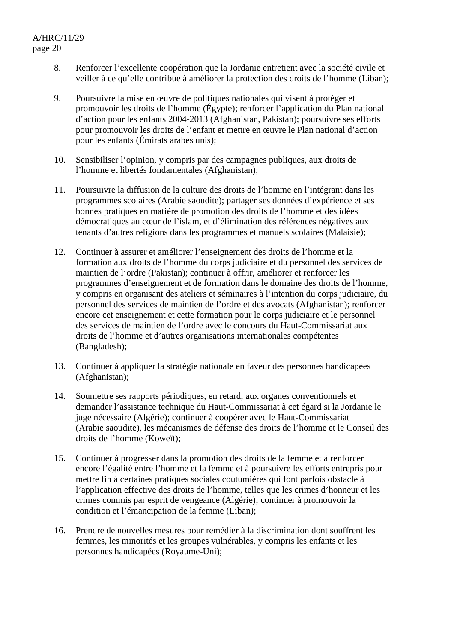- 8. Renforcer l'excellente coopération que la Jordanie entretient avec la société civile et veiller à ce qu'elle contribue à améliorer la protection des droits de l'homme (Liban);
- 9. Poursuivre la mise en œuvre de politiques nationales qui visent à protéger et promouvoir les droits de l'homme (Égypte); renforcer l'application du Plan national d'action pour les enfants 2004-2013 (Afghanistan, Pakistan); poursuivre ses efforts pour promouvoir les droits de l'enfant et mettre en œuvre le Plan national d'action pour les enfants (Émirats arabes unis);
- 10. Sensibiliser l'opinion, y compris par des campagnes publiques, aux droits de l'homme et libertés fondamentales (Afghanistan);
- 11. Poursuivre la diffusion de la culture des droits de l'homme en l'intégrant dans les programmes scolaires (Arabie saoudite); partager ses données d'expérience et ses bonnes pratiques en matière de promotion des droits de l'homme et des idées démocratiques au cœur de l'islam, et d'élimination des références négatives aux tenants d'autres religions dans les programmes et manuels scolaires (Malaisie);
- 12. Continuer à assurer et améliorer l'enseignement des droits de l'homme et la formation aux droits de l'homme du corps judiciaire et du personnel des services de maintien de l'ordre (Pakistan); continuer à offrir, améliorer et renforcer les programmes d'enseignement et de formation dans le domaine des droits de l'homme, y compris en organisant des ateliers et séminaires à l'intention du corps judiciaire, du personnel des services de maintien de l'ordre et des avocats (Afghanistan); renforcer encore cet enseignement et cette formation pour le corps judiciaire et le personnel des services de maintien de l'ordre avec le concours du Haut-Commissariat aux droits de l'homme et d'autres organisations internationales compétentes (Bangladesh);
- 13. Continuer à appliquer la stratégie nationale en faveur des personnes handicapées (Afghanistan);
- 14. Soumettre ses rapports périodiques, en retard, aux organes conventionnels et demander l'assistance technique du Haut-Commissariat à cet égard si la Jordanie le juge nécessaire (Algérie); continuer à coopérer avec le Haut-Commissariat (Arabie saoudite), les mécanismes de défense des droits de l'homme et le Conseil des droits de l'homme (Koweït);
- 15. Continuer à progresser dans la promotion des droits de la femme et à renforcer encore l'égalité entre l'homme et la femme et à poursuivre les efforts entrepris pour mettre fin à certaines pratiques sociales coutumières qui font parfois obstacle à l'application effective des droits de l'homme, telles que les crimes d'honneur et les crimes commis par esprit de vengeance (Algérie); continuer à promouvoir la condition et l'émancipation de la femme (Liban);
- 16. Prendre de nouvelles mesures pour remédier à la discrimination dont souffrent les femmes, les minorités et les groupes vulnérables, y compris les enfants et les personnes handicapées (Royaume-Uni);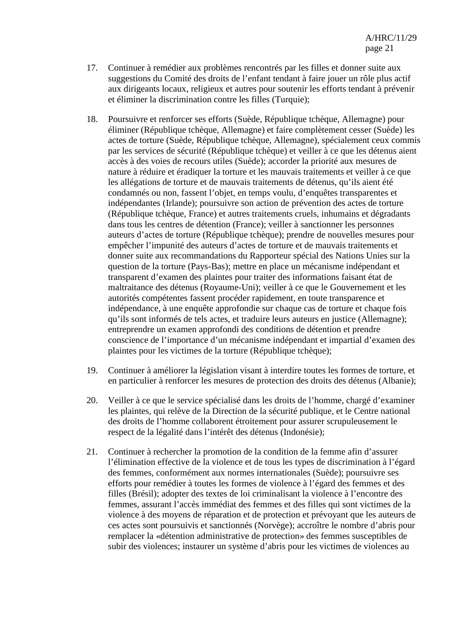- 17. Continuer à remédier aux problèmes rencontrés par les filles et donner suite aux suggestions du Comité des droits de l'enfant tendant à faire jouer un rôle plus actif aux dirigeants locaux, religieux et autres pour soutenir les efforts tendant à prévenir et éliminer la discrimination contre les filles (Turquie);
- 18. Poursuivre et renforcer ses efforts (Suède, République tchèque, Allemagne) pour éliminer (République tchèque, Allemagne) et faire complètement cesser (Suède) les actes de torture (Suède, République tchèque, Allemagne), spécialement ceux commis par les services de sécurité (République tchèque) et veiller à ce que les détenus aient accès à des voies de recours utiles (Suède); accorder la priorité aux mesures de nature à réduire et éradiquer la torture et les mauvais traitements et veiller à ce que les allégations de torture et de mauvais traitements de détenus, qu'ils aient été condamnés ou non, fassent l'objet, en temps voulu, d'enquêtes transparentes et indépendantes (Irlande); poursuivre son action de prévention des actes de torture (République tchèque, France) et autres traitements cruels, inhumains et dégradants dans tous les centres de détention (France); veiller à sanctionner les personnes auteurs d'actes de torture (République tchèque); prendre de nouvelles mesures pour empêcher l'impunité des auteurs d'actes de torture et de mauvais traitements et donner suite aux recommandations du Rapporteur spécial des Nations Unies sur la question de la torture (Pays-Bas); mettre en place un mécanisme indépendant et transparent d'examen des plaintes pour traiter des informations faisant état de maltraitance des détenus (Royaume-Uni); veiller à ce que le Gouvernement et les autorités compétentes fassent procéder rapidement, en toute transparence et indépendance, à une enquête approfondie sur chaque cas de torture et chaque fois qu'ils sont informés de tels actes, et traduire leurs auteurs en justice (Allemagne); entreprendre un examen approfondi des conditions de détention et prendre conscience de l'importance d'un mécanisme indépendant et impartial d'examen des plaintes pour les victimes de la torture (République tchèque);
- 19. Continuer à améliorer la législation visant à interdire toutes les formes de torture, et en particulier à renforcer les mesures de protection des droits des détenus (Albanie);
- 20. Veiller à ce que le service spécialisé dans les droits de l'homme, chargé d'examiner les plaintes, qui relève de la Direction de la sécurité publique, et le Centre national des droits de l'homme collaborent étroitement pour assurer scrupuleusement le respect de la légalité dans l'intérêt des détenus (Indonésie);
- 21. Continuer à rechercher la promotion de la condition de la femme afin d'assurer l'élimination effective de la violence et de tous les types de discrimination à l'égard des femmes, conformément aux normes internationales (Suède); poursuivre ses efforts pour remédier à toutes les formes de violence à l'égard des femmes et des filles (Brésil); adopter des textes de loi criminalisant la violence à l'encontre des femmes, assurant l'accès immédiat des femmes et des filles qui sont victimes de la violence à des moyens de réparation et de protection et prévoyant que les auteurs de ces actes sont poursuivis et sanctionnés (Norvège); accroître le nombre d'abris pour remplacer la «détention administrative de protection» des femmes susceptibles de subir des violences; instaurer un système d'abris pour les victimes de violences au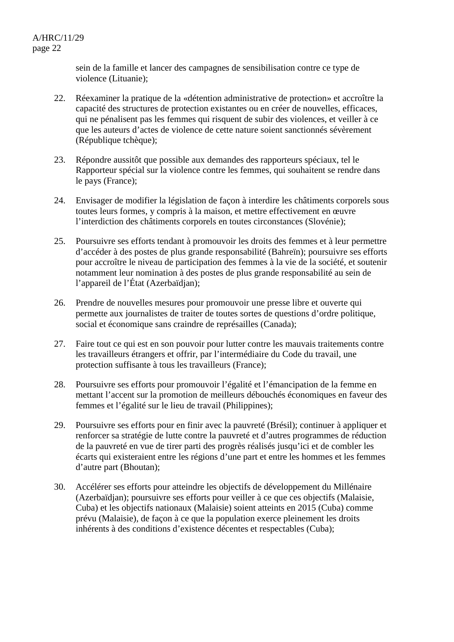sein de la famille et lancer des campagnes de sensibilisation contre ce type de violence (Lituanie);

- 22. Réexaminer la pratique de la «détention administrative de protection» et accroître la capacité des structures de protection existantes ou en créer de nouvelles, efficaces, qui ne pénalisent pas les femmes qui risquent de subir des violences, et veiller à ce que les auteurs d'actes de violence de cette nature soient sanctionnés sévèrement (République tchèque);
- 23. Répondre aussitôt que possible aux demandes des rapporteurs spéciaux, tel le Rapporteur spécial sur la violence contre les femmes, qui souhaitent se rendre dans le pays (France);
- 24. Envisager de modifier la législation de façon à interdire les châtiments corporels sous toutes leurs formes, y compris à la maison, et mettre effectivement en œuvre l'interdiction des châtiments corporels en toutes circonstances (Slovénie);
- 25. Poursuivre ses efforts tendant à promouvoir les droits des femmes et à leur permettre d'accéder à des postes de plus grande responsabilité (Bahreïn); poursuivre ses efforts pour accroître le niveau de participation des femmes à la vie de la société, et soutenir notamment leur nomination à des postes de plus grande responsabilité au sein de l'appareil de l'État (Azerbaïdjan);
- 26. Prendre de nouvelles mesures pour promouvoir une presse libre et ouverte qui permette aux journalistes de traiter de toutes sortes de questions d'ordre politique, social et économique sans craindre de représailles (Canada);
- 27. Faire tout ce qui est en son pouvoir pour lutter contre les mauvais traitements contre les travailleurs étrangers et offrir, par l'intermédiaire du Code du travail, une protection suffisante à tous les travailleurs (France);
- 28. Poursuivre ses efforts pour promouvoir l'égalité et l'émancipation de la femme en mettant l'accent sur la promotion de meilleurs débouchés économiques en faveur des femmes et l'égalité sur le lieu de travail (Philippines);
- 29. Poursuivre ses efforts pour en finir avec la pauvreté (Brésil); continuer à appliquer et renforcer sa stratégie de lutte contre la pauvreté et d'autres programmes de réduction de la pauvreté en vue de tirer parti des progrès réalisés jusqu'ici et de combler les écarts qui existeraient entre les régions d'une part et entre les hommes et les femmes d'autre part (Bhoutan);
- 30. Accélérer ses efforts pour atteindre les objectifs de développement du Millénaire (Azerbaïdjan); poursuivre ses efforts pour veiller à ce que ces objectifs (Malaisie, Cuba) et les objectifs nationaux (Malaisie) soient atteints en 2015 (Cuba) comme prévu (Malaisie), de façon à ce que la population exerce pleinement les droits inhérents à des conditions d'existence décentes et respectables (Cuba);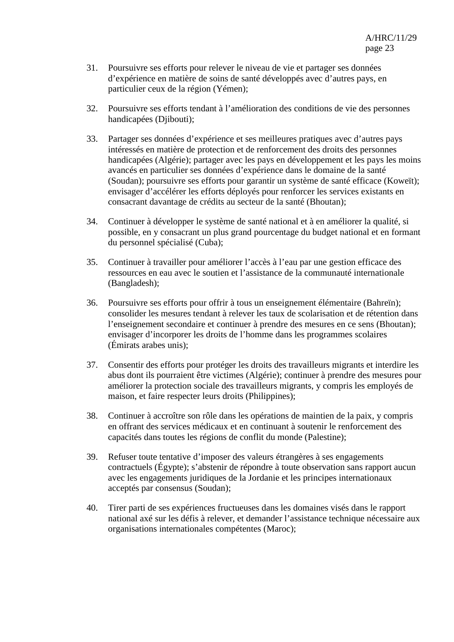- 31. Poursuivre ses efforts pour relever le niveau de vie et partager ses données d'expérience en matière de soins de santé développés avec d'autres pays, en particulier ceux de la région (Yémen);
- 32. Poursuivre ses efforts tendant à l'amélioration des conditions de vie des personnes handicapées (Djibouti);
- 33. Partager ses données d'expérience et ses meilleures pratiques avec d'autres pays intéressés en matière de protection et de renforcement des droits des personnes handicapées (Algérie); partager avec les pays en développement et les pays les moins avancés en particulier ses données d'expérience dans le domaine de la santé (Soudan); poursuivre ses efforts pour garantir un système de santé efficace (Koweït); envisager d'accélérer les efforts déployés pour renforcer les services existants en consacrant davantage de crédits au secteur de la santé (Bhoutan);
- 34. Continuer à développer le système de santé national et à en améliorer la qualité, si possible, en y consacrant un plus grand pourcentage du budget national et en formant du personnel spécialisé (Cuba);
- 35. Continuer à travailler pour améliorer l'accès à l'eau par une gestion efficace des ressources en eau avec le soutien et l'assistance de la communauté internationale (Bangladesh);
- 36. Poursuivre ses efforts pour offrir à tous un enseignement élémentaire (Bahreïn); consolider les mesures tendant à relever les taux de scolarisation et de rétention dans l'enseignement secondaire et continuer à prendre des mesures en ce sens (Bhoutan); envisager d'incorporer les droits de l'homme dans les programmes scolaires (Émirats arabes unis);
- 37. Consentir des efforts pour protéger les droits des travailleurs migrants et interdire les abus dont ils pourraient être victimes (Algérie); continuer à prendre des mesures pour améliorer la protection sociale des travailleurs migrants, y compris les employés de maison, et faire respecter leurs droits (Philippines);
- 38. Continuer à accroître son rôle dans les opérations de maintien de la paix, y compris en offrant des services médicaux et en continuant à soutenir le renforcement des capacités dans toutes les régions de conflit du monde (Palestine);
- 39. Refuser toute tentative d'imposer des valeurs étrangères à ses engagements contractuels (Égypte); s'abstenir de répondre à toute observation sans rapport aucun avec les engagements juridiques de la Jordanie et les principes internationaux acceptés par consensus (Soudan);
- 40. Tirer parti de ses expériences fructueuses dans les domaines visés dans le rapport national axé sur les défis à relever, et demander l'assistance technique nécessaire aux organisations internationales compétentes (Maroc);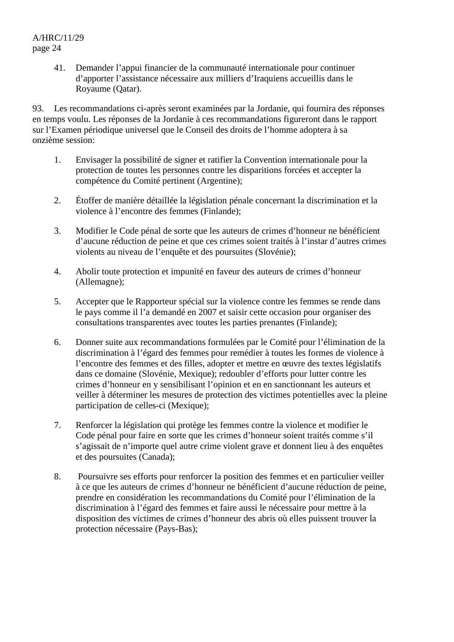41. Demander l'appui financier de la communauté internationale pour continuer d'apporter l'assistance nécessaire aux milliers d'Iraquiens accueillis dans le Royaume (Qatar).

93. Les recommandations ci-après seront examinées par la Jordanie, qui fournira des réponses en temps voulu. Les réponses de la Jordanie à ces recommandations figureront dans le rapport sur l'Examen périodique universel que le Conseil des droits de l'homme adoptera à sa onzième session:

- 1. Envisager la possibilité de signer et ratifier la Convention internationale pour la protection de toutes les personnes contre les disparitions forcées et accepter la compétence du Comité pertinent (Argentine);
- 2. Étoffer de manière détaillée la législation pénale concernant la discrimination et la violence à l'encontre des femmes (Finlande);
- 3. Modifier le Code pénal de sorte que les auteurs de crimes d'honneur ne bénéficient d'aucune réduction de peine et que ces crimes soient traités à l'instar d'autres crimes violents au niveau de l'enquête et des poursuites (Slovénie);
- 4. Abolir toute protection et impunité en faveur des auteurs de crimes d'honneur (Allemagne);
- 5. Accepter que le Rapporteur spécial sur la violence contre les femmes se rende dans le pays comme il l'a demandé en 2007 et saisir cette occasion pour organiser des consultations transparentes avec toutes les parties prenantes (Finlande);
- 6. Donner suite aux recommandations formulées par le Comité pour l'élimination de la discrimination à l'égard des femmes pour remédier à toutes les formes de violence à l'encontre des femmes et des filles, adopter et mettre en œuvre des textes législatifs dans ce domaine (Slovénie, Mexique); redoubler d'efforts pour lutter contre les crimes d'honneur en y sensibilisant l'opinion et en en sanctionnant les auteurs et veiller à déterminer les mesures de protection des victimes potentielles avec la pleine participation de celles-ci (Mexique);
- 7. Renforcer la législation qui protège les femmes contre la violence et modifier le Code pénal pour faire en sorte que les crimes d'honneur soient traités comme s'il s'agissait de n'importe quel autre crime violent grave et donnent lieu à des enquêtes et des poursuites (Canada);
- 8. Poursuivre ses efforts pour renforcer la position des femmes et en particulier veiller à ce que les auteurs de crimes d'honneur ne bénéficient d'aucune réduction de peine, prendre en considération les recommandations du Comité pour l'élimination de la discrimination à l'égard des femmes et faire aussi le nécessaire pour mettre à la disposition des victimes de crimes d'honneur des abris où elles puissent trouver la protection nécessaire (Pays-Bas);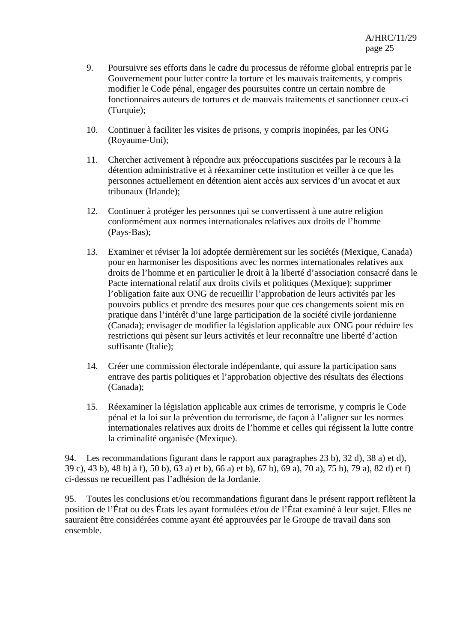- 9. Poursuivre ses efforts dans le cadre du processus de réforme global entrepris par le Gouvernement pour lutter contre la torture et les mauvais traitements, y compris modifier le Code pénal, engager des poursuites contre un certain nombre de fonctionnaires auteurs de tortures et de mauvais traitements et sanctionner ceux-ci (Turquie);
- 10. Continuer à faciliter les visites de prisons, y compris inopinées, par les ONG (Royaume-Uni);
- 11. Chercher activement à répondre aux préoccupations suscitées par le recours à la détention administrative et à réexaminer cette institution et veiller à ce que les personnes actuellement en détention aient accès aux services d'un avocat et aux tribunaux (Irlande);
- 12. Continuer à protéger les personnes qui se convertissent à une autre religion conformément aux normes internationales relatives aux droits de l'homme (Pays-Bas);
- 13. Examiner et réviser la loi adoptée dernièrement sur les sociétés (Mexique, Canada) pour en harmoniser les dispositions avec les normes internationales relatives aux droits de l'homme et en particulier le droit à la liberté d'association consacré dans le Pacte international relatif aux droits civils et politiques (Mexique); supprimer l'obligation faite aux ONG de recueillir l'approbation de leurs activités par les pouvoirs publics et prendre des mesures pour que ces changements soient mis en pratique dans l'intérêt d'une large participation de la société civile jordanienne (Canada); envisager de modifier la législation applicable aux ONG pour réduire les restrictions qui pèsent sur leurs activités et leur reconnaître une liberté d'action suffisante (Italie);
- 14. Créer une commission électorale indépendante, qui assure la participation sans entrave des partis politiques et l'approbation objective des résultats des élections (Canada);
- 15. Réexaminer la législation applicable aux crimes de terrorisme, y compris le Code pénal et la loi sur la prévention du terrorisme, de façon à l'aligner sur les normes internationales relatives aux droits de l'homme et celles qui régissent la lutte contre la criminalité organisée (Mexique).

94. Les recommandations figurant dans le rapport aux paragraphes 23 b), 32 d), 38 a) et d), 39 c), 43 b), 48 b) à f), 50 b), 63 a) et b), 66 a) et b), 67 b), 69 a), 70 a), 75 b), 79 a), 82 d) et f) ci-dessus ne recueillent pas l'adhésion de la Jordanie.

95. Toutes les conclusions et/ou recommandations figurant dans le présent rapport reflètent la position de l'État ou des États les ayant formulées et/ou de l'État examiné à leur sujet. Elles ne sauraient être considérées comme ayant été approuvées par le Groupe de travail dans son ensemble.